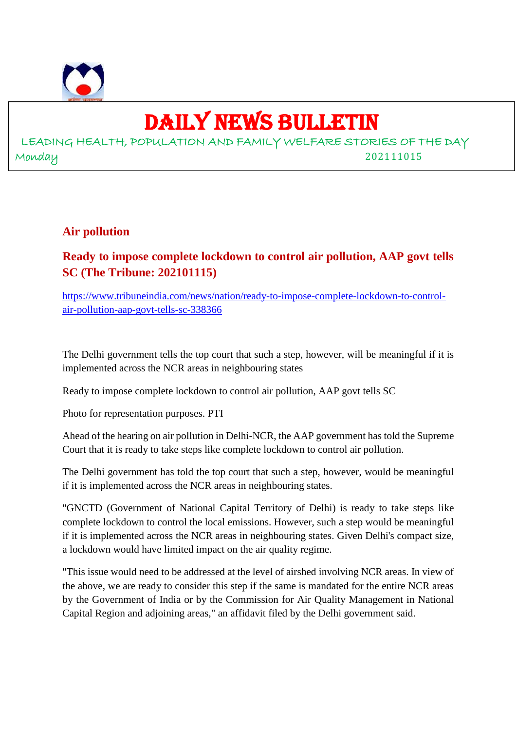

## DAILY NEWS BULLETIN

LEADING HEALTH, POPULATION AND FAMILY WELFARE STORIES OF THE DAY Monday 202111015

## **Air pollution**

## **Ready to impose complete lockdown to control air pollution, AAP govt tells SC (The Tribune: 202101115)**

https://www.tribuneindia.com/news/nation/ready-to-impose-complete-lockdown-to-controlair-pollution-aap-govt-tells-sc-338366

The Delhi government tells the top court that such a step, however, will be meaningful if it is implemented across the NCR areas in neighbouring states

Ready to impose complete lockdown to control air pollution, AAP govt tells SC

Photo for representation purposes. PTI

Ahead of the hearing on air pollution in Delhi-NCR, the AAP government has told the Supreme Court that it is ready to take steps like complete lockdown to control air pollution.

The Delhi government has told the top court that such a step, however, would be meaningful if it is implemented across the NCR areas in neighbouring states.

"GNCTD (Government of National Capital Territory of Delhi) is ready to take steps like complete lockdown to control the local emissions. However, such a step would be meaningful if it is implemented across the NCR areas in neighbouring states. Given Delhi's compact size, a lockdown would have limited impact on the air quality regime.

"This issue would need to be addressed at the level of airshed involving NCR areas. In view of the above, we are ready to consider this step if the same is mandated for the entire NCR areas by the Government of India or by the Commission for Air Quality Management in National Capital Region and adjoining areas," an affidavit filed by the Delhi government said.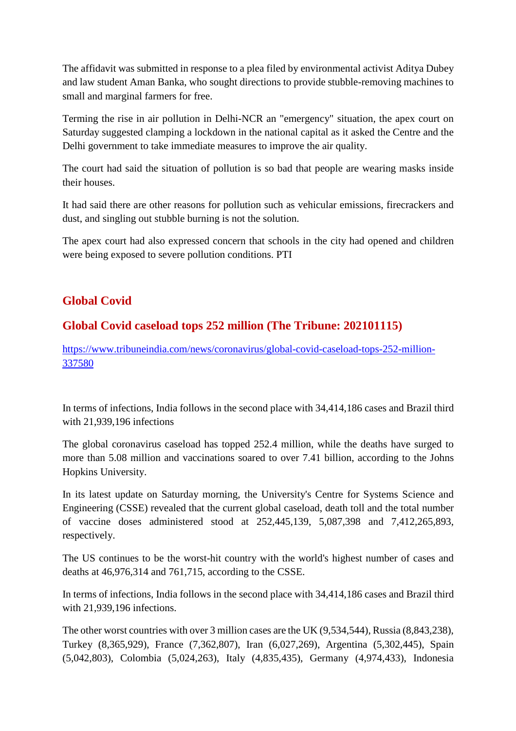The affidavit was submitted in response to a plea filed by environmental activist Aditya Dubey and law student Aman Banka, who sought directions to provide stubble-removing machines to small and marginal farmers for free.

Terming the rise in air pollution in Delhi-NCR an "emergency" situation, the apex court on Saturday suggested clamping a lockdown in the national capital as it asked the Centre and the Delhi government to take immediate measures to improve the air quality.

The court had said the situation of pollution is so bad that people are wearing masks inside their houses.

It had said there are other reasons for pollution such as vehicular emissions, firecrackers and dust, and singling out stubble burning is not the solution.

The apex court had also expressed concern that schools in the city had opened and children were being exposed to severe pollution conditions. PTI

## **Global Covid**

## **Global Covid caseload tops 252 million (The Tribune: 202101115)**

https://www.tribuneindia.com/news/coronavirus/global-covid-caseload-tops-252-million-337580

In terms of infections, India follows in the second place with 34,414,186 cases and Brazil third with 21,939,196 infections

The global coronavirus caseload has topped 252.4 million, while the deaths have surged to more than 5.08 million and vaccinations soared to over 7.41 billion, according to the Johns Hopkins University.

In its latest update on Saturday morning, the University's Centre for Systems Science and Engineering (CSSE) revealed that the current global caseload, death toll and the total number of vaccine doses administered stood at 252,445,139, 5,087,398 and 7,412,265,893, respectively.

The US continues to be the worst-hit country with the world's highest number of cases and deaths at 46,976,314 and 761,715, according to the CSSE.

In terms of infections, India follows in the second place with 34,414,186 cases and Brazil third with 21,939,196 infections.

The other worst countries with over 3 million cases are the UK (9,534,544), Russia (8,843,238), Turkey (8,365,929), France (7,362,807), Iran (6,027,269), Argentina (5,302,445), Spain (5,042,803), Colombia (5,024,263), Italy (4,835,435), Germany (4,974,433), Indonesia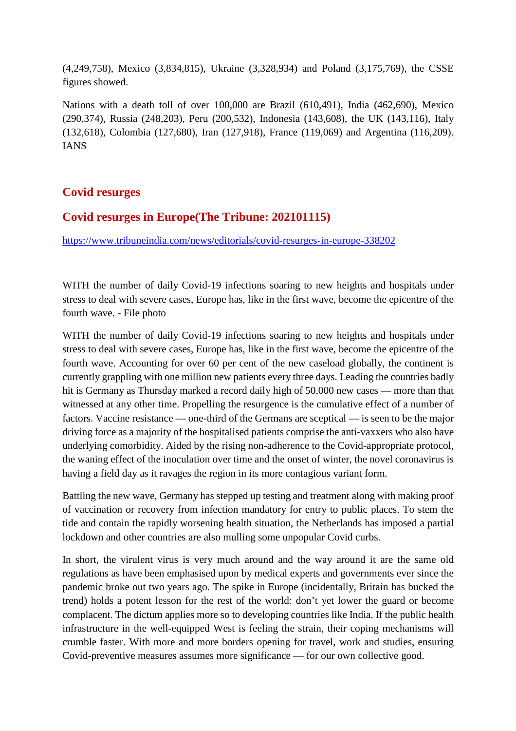(4,249,758), Mexico (3,834,815), Ukraine (3,328,934) and Poland (3,175,769), the CSSE figures showed.

Nations with a death toll of over 100,000 are Brazil (610,491), India (462,690), Mexico (290,374), Russia (248,203), Peru (200,532), Indonesia (143,608), the UK (143,116), Italy (132,618), Colombia (127,680), Iran (127,918), France (119,069) and Argentina (116,209). IANS

## **Covid resurges**

## **Covid resurges in Europe(The Tribune: 202101115)**

https://www.tribuneindia.com/news/editorials/covid-resurges-in-europe-338202

WITH the number of daily Covid-19 infections soaring to new heights and hospitals under stress to deal with severe cases, Europe has, like in the first wave, become the epicentre of the fourth wave. - File photo

WITH the number of daily Covid-19 infections soaring to new heights and hospitals under stress to deal with severe cases, Europe has, like in the first wave, become the epicentre of the fourth wave. Accounting for over 60 per cent of the new caseload globally, the continent is currently grappling with one million new patients every three days. Leading the countries badly hit is Germany as Thursday marked a record daily high of 50,000 new cases — more than that witnessed at any other time. Propelling the resurgence is the cumulative effect of a number of factors. Vaccine resistance — one-third of the Germans are sceptical — is seen to be the major driving force as a majority of the hospitalised patients comprise the anti-vaxxers who also have underlying comorbidity. Aided by the rising non-adherence to the Covid-appropriate protocol, the waning effect of the inoculation over time and the onset of winter, the novel coronavirus is having a field day as it ravages the region in its more contagious variant form.

Battling the new wave, Germany has stepped up testing and treatment along with making proof of vaccination or recovery from infection mandatory for entry to public places. To stem the tide and contain the rapidly worsening health situation, the Netherlands has imposed a partial lockdown and other countries are also mulling some unpopular Covid curbs.

In short, the virulent virus is very much around and the way around it are the same old regulations as have been emphasised upon by medical experts and governments ever since the pandemic broke out two years ago. The spike in Europe (incidentally, Britain has bucked the trend) holds a potent lesson for the rest of the world: don't yet lower the guard or become complacent. The dictum applies more so to developing countries like India. If the public health infrastructure in the well-equipped West is feeling the strain, their coping mechanisms will crumble faster. With more and more borders opening for travel, work and studies, ensuring Covid-preventive measures assumes more significance — for our own collective good.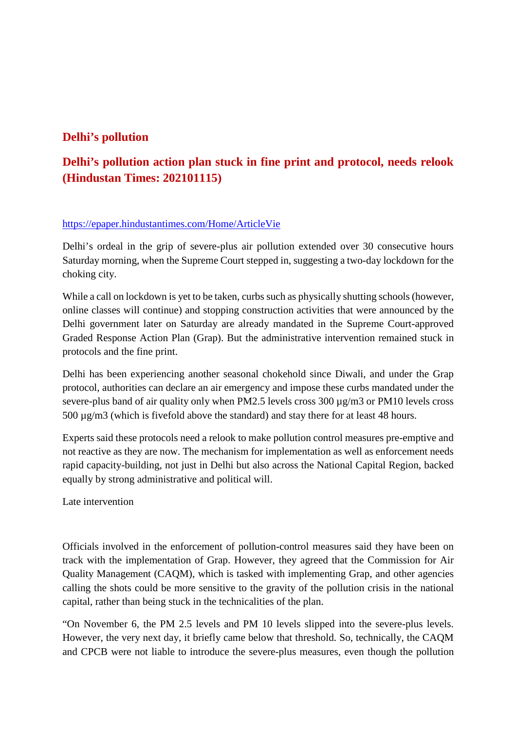## **Delhi's pollution**

## **Delhi's pollution action plan stuck in fine print and protocol, needs relook (Hindustan Times: 202101115)**

## https://epaper.hindustantimes.com/Home/ArticleVie

Delhi's ordeal in the grip of severe-plus air pollution extended over 30 consecutive hours Saturday morning, when the Supreme Court stepped in, suggesting a two-day lockdown for the choking city.

While a call on lockdown is yet to be taken, curbs such as physically shutting schools (however, online classes will continue) and stopping construction activities that were announced by the Delhi government later on Saturday are already mandated in the Supreme Court-approved Graded Response Action Plan (Grap). But the administrative intervention remained stuck in protocols and the fine print.

Delhi has been experiencing another seasonal chokehold since Diwali, and under the Grap protocol, authorities can declare an air emergency and impose these curbs mandated under the severe-plus band of air quality only when PM2.5 levels cross 300  $\mu$ g/m3 or PM10 levels cross 500 µg/m3 (which is fivefold above the standard) and stay there for at least 48 hours.

Experts said these protocols need a relook to make pollution control measures pre-emptive and not reactive as they are now. The mechanism for implementation as well as enforcement needs rapid capacity-building, not just in Delhi but also across the National Capital Region, backed equally by strong administrative and political will.

Late intervention

Officials involved in the enforcement of pollution-control measures said they have been on track with the implementation of Grap. However, they agreed that the Commission for Air Quality Management (CAQM), which is tasked with implementing Grap, and other agencies calling the shots could be more sensitive to the gravity of the pollution crisis in the national capital, rather than being stuck in the technicalities of the plan.

"On November 6, the PM 2.5 levels and PM 10 levels slipped into the severe-plus levels. However, the very next day, it briefly came below that threshold. So, technically, the CAQM and CPCB were not liable to introduce the severe-plus measures, even though the pollution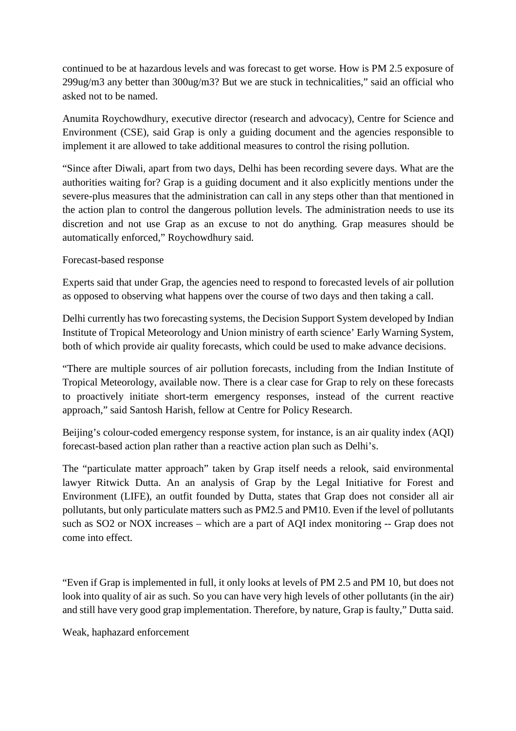continued to be at hazardous levels and was forecast to get worse. How is PM 2.5 exposure of 299ug/m3 any better than 300ug/m3? But we are stuck in technicalities," said an official who asked not to be named.

Anumita Roychowdhury, executive director (research and advocacy), Centre for Science and Environment (CSE), said Grap is only a guiding document and the agencies responsible to implement it are allowed to take additional measures to control the rising pollution.

"Since after Diwali, apart from two days, Delhi has been recording severe days. What are the authorities waiting for? Grap is a guiding document and it also explicitly mentions under the severe-plus measures that the administration can call in any steps other than that mentioned in the action plan to control the dangerous pollution levels. The administration needs to use its discretion and not use Grap as an excuse to not do anything. Grap measures should be automatically enforced," Roychowdhury said.

## Forecast-based response

Experts said that under Grap, the agencies need to respond to forecasted levels of air pollution as opposed to observing what happens over the course of two days and then taking a call.

Delhi currently has two forecasting systems, the Decision Support System developed by Indian Institute of Tropical Meteorology and Union ministry of earth science' Early Warning System, both of which provide air quality forecasts, which could be used to make advance decisions.

"There are multiple sources of air pollution forecasts, including from the Indian Institute of Tropical Meteorology, available now. There is a clear case for Grap to rely on these forecasts to proactively initiate short-term emergency responses, instead of the current reactive approach," said Santosh Harish, fellow at Centre for Policy Research.

Beijing's colour-coded emergency response system, for instance, is an air quality index (AQI) forecast-based action plan rather than a reactive action plan such as Delhi's.

The "particulate matter approach" taken by Grap itself needs a relook, said environmental lawyer Ritwick Dutta. An an analysis of Grap by the Legal Initiative for Forest and Environment (LIFE), an outfit founded by Dutta, states that Grap does not consider all air pollutants, but only particulate matters such as PM2.5 and PM10. Even if the level of pollutants such as SO2 or NOX increases – which are a part of AQI index monitoring -- Grap does not come into effect.

"Even if Grap is implemented in full, it only looks at levels of PM 2.5 and PM 10, but does not look into quality of air as such. So you can have very high levels of other pollutants (in the air) and still have very good grap implementation. Therefore, by nature, Grap is faulty," Dutta said.

Weak, haphazard enforcement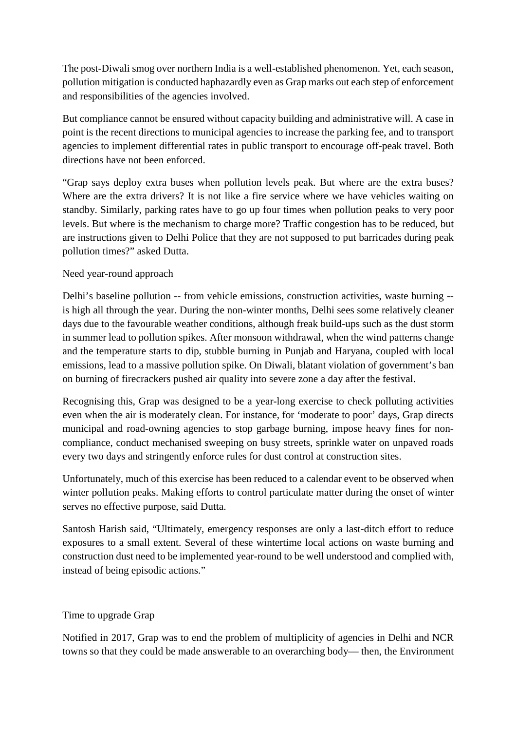The post-Diwali smog over northern India is a well-established phenomenon. Yet, each season, pollution mitigation is conducted haphazardly even as Grap marks out each step of enforcement and responsibilities of the agencies involved.

But compliance cannot be ensured without capacity building and administrative will. A case in point is the recent directions to municipal agencies to increase the parking fee, and to transport agencies to implement differential rates in public transport to encourage off-peak travel. Both directions have not been enforced.

"Grap says deploy extra buses when pollution levels peak. But where are the extra buses? Where are the extra drivers? It is not like a fire service where we have vehicles waiting on standby. Similarly, parking rates have to go up four times when pollution peaks to very poor levels. But where is the mechanism to charge more? Traffic congestion has to be reduced, but are instructions given to Delhi Police that they are not supposed to put barricades during peak pollution times?" asked Dutta.

## Need year-round approach

Delhi's baseline pollution -- from vehicle emissions, construction activities, waste burning - is high all through the year. During the non-winter months, Delhi sees some relatively cleaner days due to the favourable weather conditions, although freak build-ups such as the dust storm in summer lead to pollution spikes. After monsoon withdrawal, when the wind patterns change and the temperature starts to dip, stubble burning in Punjab and Haryana, coupled with local emissions, lead to a massive pollution spike. On Diwali, blatant violation of government's ban on burning of firecrackers pushed air quality into severe zone a day after the festival.

Recognising this, Grap was designed to be a year-long exercise to check polluting activities even when the air is moderately clean. For instance, for 'moderate to poor' days, Grap directs municipal and road-owning agencies to stop garbage burning, impose heavy fines for noncompliance, conduct mechanised sweeping on busy streets, sprinkle water on unpaved roads every two days and stringently enforce rules for dust control at construction sites.

Unfortunately, much of this exercise has been reduced to a calendar event to be observed when winter pollution peaks. Making efforts to control particulate matter during the onset of winter serves no effective purpose, said Dutta.

Santosh Harish said, "Ultimately, emergency responses are only a last-ditch effort to reduce exposures to a small extent. Several of these wintertime local actions on waste burning and construction dust need to be implemented year-round to be well understood and complied with, instead of being episodic actions."

## Time to upgrade Grap

Notified in 2017, Grap was to end the problem of multiplicity of agencies in Delhi and NCR towns so that they could be made answerable to an overarching body— then, the Environment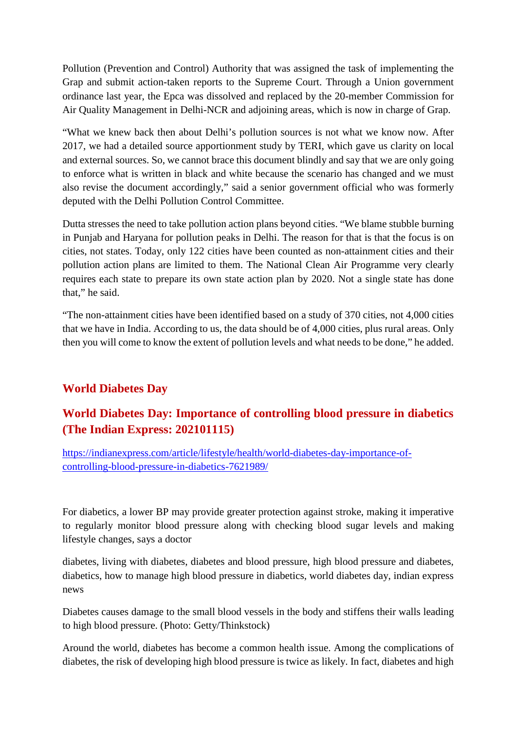Pollution (Prevention and Control) Authority that was assigned the task of implementing the Grap and submit action-taken reports to the Supreme Court. Through a Union government ordinance last year, the Epca was dissolved and replaced by the 20-member Commission for Air Quality Management in Delhi-NCR and adjoining areas, which is now in charge of Grap.

"What we knew back then about Delhi's pollution sources is not what we know now. After 2017, we had a detailed source apportionment study by TERI, which gave us clarity on local and external sources. So, we cannot brace this document blindly and say that we are only going to enforce what is written in black and white because the scenario has changed and we must also revise the document accordingly," said a senior government official who was formerly deputed with the Delhi Pollution Control Committee.

Dutta stresses the need to take pollution action plans beyond cities. "We blame stubble burning in Punjab and Haryana for pollution peaks in Delhi. The reason for that is that the focus is on cities, not states. Today, only 122 cities have been counted as non-attainment cities and their pollution action plans are limited to them. The National Clean Air Programme very clearly requires each state to prepare its own state action plan by 2020. Not a single state has done that," he said.

"The non-attainment cities have been identified based on a study of 370 cities, not 4,000 cities that we have in India. According to us, the data should be of 4,000 cities, plus rural areas. Only then you will come to know the extent of pollution levels and what needs to be done," he added.

## **World Diabetes Day**

## **World Diabetes Day: Importance of controlling blood pressure in diabetics (The Indian Express: 202101115)**

https://indianexpress.com/article/lifestyle/health/world-diabetes-day-importance-ofcontrolling-blood-pressure-in-diabetics-7621989/

For diabetics, a lower BP may provide greater protection against stroke, making it imperative to regularly monitor blood pressure along with checking blood sugar levels and making lifestyle changes, says a doctor

diabetes, living with diabetes, diabetes and blood pressure, high blood pressure and diabetes, diabetics, how to manage high blood pressure in diabetics, world diabetes day, indian express news

Diabetes causes damage to the small blood vessels in the body and stiffens their walls leading to high blood pressure. (Photo: Getty/Thinkstock)

Around the world, diabetes has become a common health issue. Among the complications of diabetes, the risk of developing high blood pressure is twice as likely. In fact, diabetes and high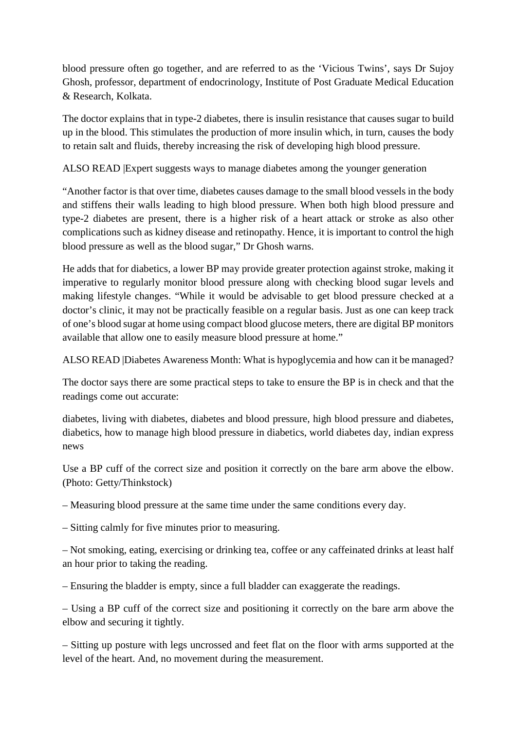blood pressure often go together, and are referred to as the 'Vicious Twins', says Dr Sujoy Ghosh, professor, department of endocrinology, Institute of Post Graduate Medical Education & Research, Kolkata.

The doctor explains that in type-2 diabetes, there is insulin resistance that causes sugar to build up in the blood. This stimulates the production of more insulin which, in turn, causes the body to retain salt and fluids, thereby increasing the risk of developing high blood pressure.

ALSO READ |Expert suggests ways to manage diabetes among the younger generation

"Another factor is that over time, diabetes causes damage to the small blood vessels in the body and stiffens their walls leading to high blood pressure. When both high blood pressure and type-2 diabetes are present, there is a higher risk of a heart attack or stroke as also other complications such as kidney disease and retinopathy. Hence, it is important to control the high blood pressure as well as the blood sugar," Dr Ghosh warns.

He adds that for diabetics, a lower BP may provide greater protection against stroke, making it imperative to regularly monitor blood pressure along with checking blood sugar levels and making lifestyle changes. "While it would be advisable to get blood pressure checked at a doctor's clinic, it may not be practically feasible on a regular basis. Just as one can keep track of one's blood sugar at home using compact blood glucose meters, there are digital BP monitors available that allow one to easily measure blood pressure at home."

ALSO READ |Diabetes Awareness Month: What is hypoglycemia and how can it be managed?

The doctor says there are some practical steps to take to ensure the BP is in check and that the readings come out accurate:

diabetes, living with diabetes, diabetes and blood pressure, high blood pressure and diabetes, diabetics, how to manage high blood pressure in diabetics, world diabetes day, indian express news

Use a BP cuff of the correct size and position it correctly on the bare arm above the elbow. (Photo: Getty/Thinkstock)

– Measuring blood pressure at the same time under the same conditions every day.

– Sitting calmly for five minutes prior to measuring.

– Not smoking, eating, exercising or drinking tea, coffee or any caffeinated drinks at least half an hour prior to taking the reading.

– Ensuring the bladder is empty, since a full bladder can exaggerate the readings.

– Using a BP cuff of the correct size and positioning it correctly on the bare arm above the elbow and securing it tightly.

– Sitting up posture with legs uncrossed and feet flat on the floor with arms supported at the level of the heart. And, no movement during the measurement.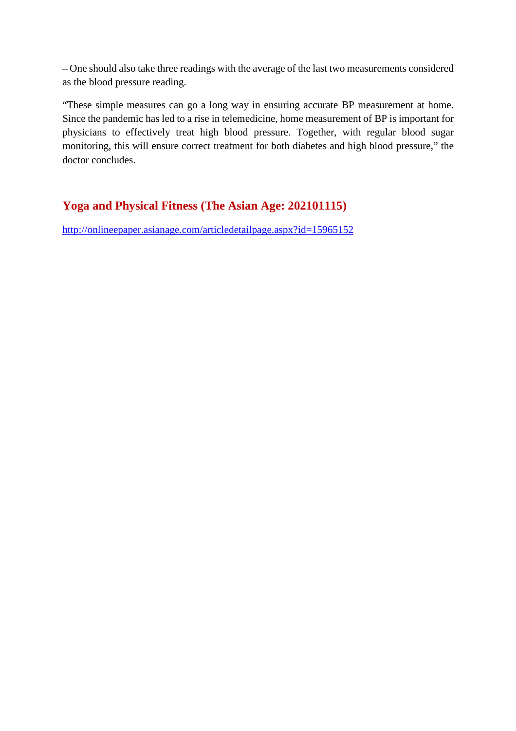– One should also take three readings with the average of the last two measurements considered as the blood pressure reading.

"These simple measures can go a long way in ensuring accurate BP measurement at home. Since the pandemic has led to a rise in telemedicine, home measurement of BP is important for physicians to effectively treat high blood pressure. Together, with regular blood sugar monitoring, this will ensure correct treatment for both diabetes and high blood pressure," the doctor concludes.

## **Yoga and Physical Fitness (The Asian Age: 202101115)**

http://onlineepaper.asianage.com/articledetailpage.aspx?id=15965152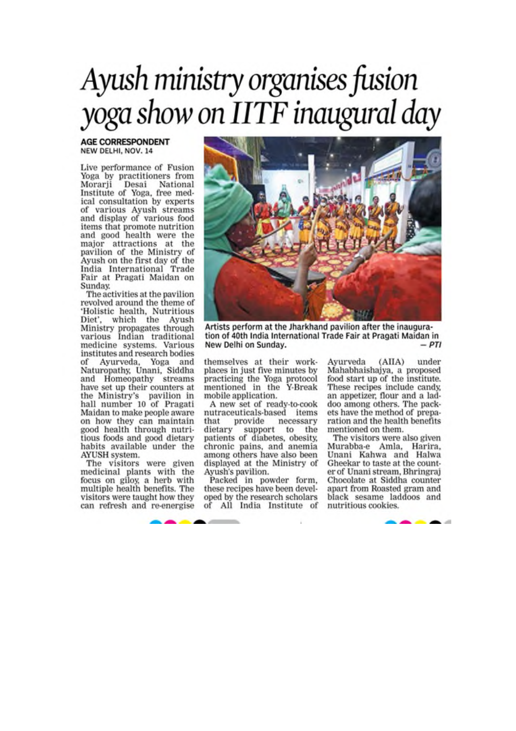# Ayush ministry organises fusion yoga show on IITF inaugural day

#### **AGE CORRESPONDENT** NEW DELHI, NOV. 14

Live performance of Fusion Yoga by practitioners from Morarji Desai National<br>Institute of Yoga, free medical consultation by experts of various Ayush streams<br>and display of various food items that promote nutrition and good health were the major attractions at the pavilion of the Ministry of Ayush on the first day of the<br>India International Trade Fair at Pragati Maidan on Sunday.

The activities at the pavilion revolved around the theme of 'Holistic health, Nutritious<br>Diet', which the Ayush Ministry propagates through<br>various Indian traditional medicine systems. Various institutes and research bodies of Ayurveda, Yoga and Naturopathy, Unani, Siddha<br>and Homeopathy streams have set up their counters at the Ministry's pavilion in<br>hall number 10 of Pragati Maidan to make people aware on how they can maintain good health through nutritious foods and good dietary habits available under the AYUSH system.

The visitors were given medicinal plants with the focus on giloy, a herb with multiple health benefits. The visitors were taught how they can refresh and re-energise



Artists perform at the Jharkhand pavilion after the inauguration of 40th India International Trade Fair at Pragati Maidan in  $-PTI$ New Delhi on Sunday.

themselves at their workplaces in just five minutes by practicing the Yoga protocol<br>mentioned in the Y-Break mobile application.

A new set of ready-to-cook<br>nutraceuticals-based items that provide necessary dietary support to the patients of diabetes, obesity, chronic pains, and anemia among others have also been displayed at the Ministry of Ayush's pavilion.

Packed in powder form. these recipes have been developed by the research scholars<br>of All India Institute of

 $(AIIA)$ Ayurveda under Mahabhaishajya, a proposed food start up of the institute. These recipes include candy, an appetizer, flour and a lad-<br>doo among others. The pack-<br>ets have the method of preparation and the health benefits mentioned on them.

The visitors were also given Murabba-e Amla, Harira,<br>Unani Kahwa and Halwa Gheekar to taste at the counter of Unani stream, Bhringraj Chocolate at Siddha counter apart from Roasted gram and black sesame laddoos and nutritious cookies.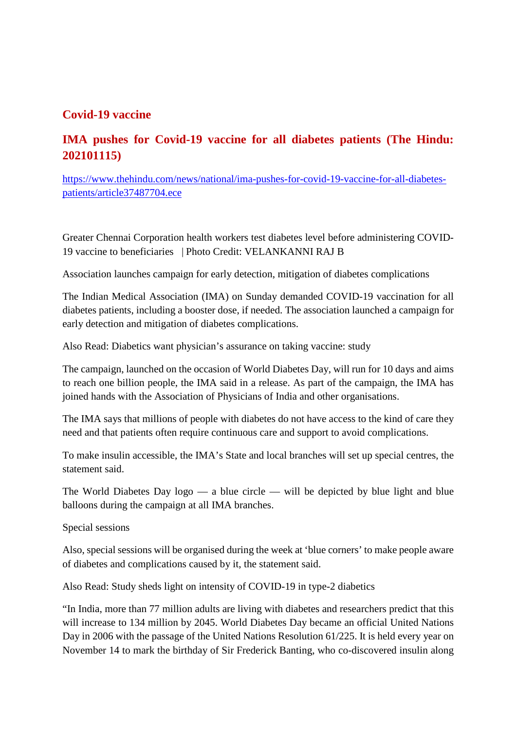## **Covid-19 vaccine**

## **IMA pushes for Covid-19 vaccine for all diabetes patients (The Hindu: 202101115)**

https://www.thehindu.com/news/national/ima-pushes-for-covid-19-vaccine-for-all-diabetespatients/article37487704.ece

Greater Chennai Corporation health workers test diabetes level before administering COVID-19 vaccine to beneficiaries | Photo Credit: VELANKANNI RAJ B

Association launches campaign for early detection, mitigation of diabetes complications

The Indian Medical Association (IMA) on Sunday demanded COVID-19 vaccination for all diabetes patients, including a booster dose, if needed. The association launched a campaign for early detection and mitigation of diabetes complications.

Also Read: Diabetics want physician's assurance on taking vaccine: study

The campaign, launched on the occasion of World Diabetes Day, will run for 10 days and aims to reach one billion people, the IMA said in a release. As part of the campaign, the IMA has joined hands with the Association of Physicians of India and other organisations.

The IMA says that millions of people with diabetes do not have access to the kind of care they need and that patients often require continuous care and support to avoid complications.

To make insulin accessible, the IMA's State and local branches will set up special centres, the statement said.

The World Diabetes Day logo — a blue circle — will be depicted by blue light and blue balloons during the campaign at all IMA branches.

Special sessions

Also, special sessions will be organised during the week at 'blue corners' to make people aware of diabetes and complications caused by it, the statement said.

Also Read: Study sheds light on intensity of COVID-19 in type-2 diabetics

"In India, more than 77 million adults are living with diabetes and researchers predict that this will increase to 134 million by 2045. World Diabetes Day became an official United Nations Day in 2006 with the passage of the United Nations Resolution 61/225. It is held every year on November 14 to mark the birthday of Sir Frederick Banting, who co-discovered insulin along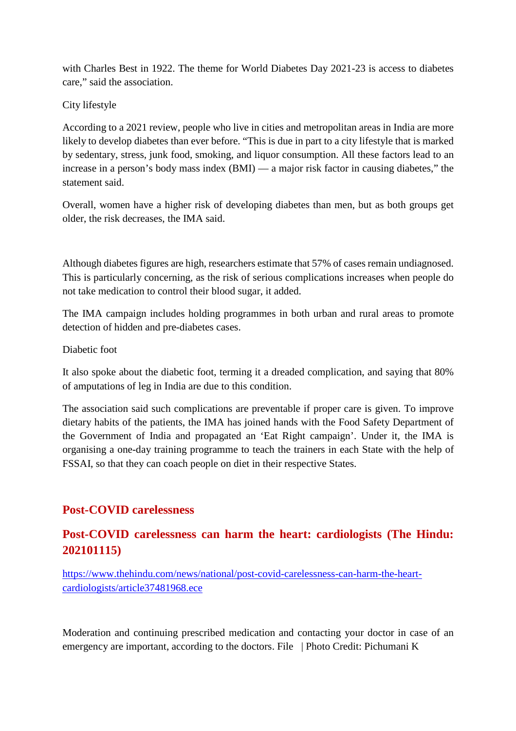with Charles Best in 1922. The theme for World Diabetes Day 2021-23 is access to diabetes care," said the association.

## City lifestyle

According to a 2021 review, people who live in cities and metropolitan areas in India are more likely to develop diabetes than ever before. "This is due in part to a city lifestyle that is marked by sedentary, stress, junk food, smoking, and liquor consumption. All these factors lead to an increase in a person's body mass index (BMI) — a major risk factor in causing diabetes," the statement said.

Overall, women have a higher risk of developing diabetes than men, but as both groups get older, the risk decreases, the IMA said.

Although diabetes figures are high, researchers estimate that 57% of cases remain undiagnosed. This is particularly concerning, as the risk of serious complications increases when people do not take medication to control their blood sugar, it added.

The IMA campaign includes holding programmes in both urban and rural areas to promote detection of hidden and pre-diabetes cases.

## Diabetic foot

It also spoke about the diabetic foot, terming it a dreaded complication, and saying that 80% of amputations of leg in India are due to this condition.

The association said such complications are preventable if proper care is given. To improve dietary habits of the patients, the IMA has joined hands with the Food Safety Department of the Government of India and propagated an 'Eat Right campaign'. Under it, the IMA is organising a one-day training programme to teach the trainers in each State with the help of FSSAI, so that they can coach people on diet in their respective States.

## **Post-COVID carelessness**

## **Post-COVID carelessness can harm the heart: cardiologists (The Hindu: 202101115)**

https://www.thehindu.com/news/national/post-covid-carelessness-can-harm-the-heartcardiologists/article37481968.ece

Moderation and continuing prescribed medication and contacting your doctor in case of an emergency are important, according to the doctors. File | Photo Credit: Pichumani K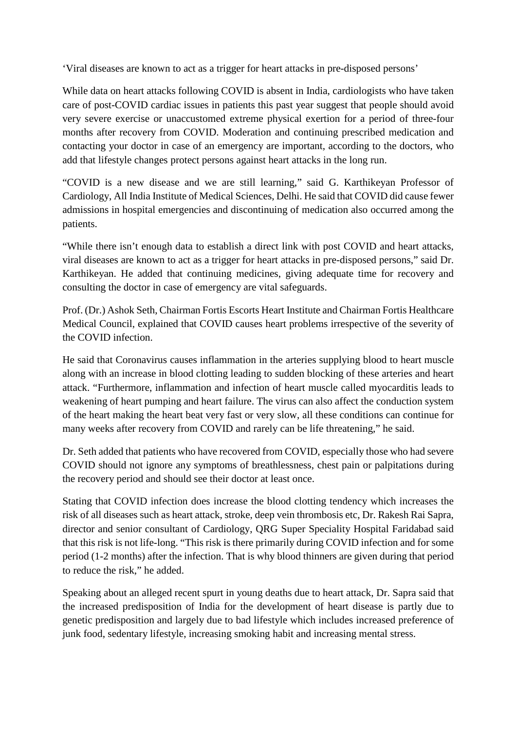'Viral diseases are known to act as a trigger for heart attacks in pre-disposed persons'

While data on heart attacks following COVID is absent in India, cardiologists who have taken care of post-COVID cardiac issues in patients this past year suggest that people should avoid very severe exercise or unaccustomed extreme physical exertion for a period of three-four months after recovery from COVID. Moderation and continuing prescribed medication and contacting your doctor in case of an emergency are important, according to the doctors, who add that lifestyle changes protect persons against heart attacks in the long run.

"COVID is a new disease and we are still learning," said G. Karthikeyan Professor of Cardiology, All India Institute of Medical Sciences, Delhi. He said that COVID did cause fewer admissions in hospital emergencies and discontinuing of medication also occurred among the patients.

"While there isn't enough data to establish a direct link with post COVID and heart attacks, viral diseases are known to act as a trigger for heart attacks in pre-disposed persons," said Dr. Karthikeyan. He added that continuing medicines, giving adequate time for recovery and consulting the doctor in case of emergency are vital safeguards.

Prof. (Dr.) Ashok Seth, Chairman Fortis Escorts Heart Institute and Chairman Fortis Healthcare Medical Council, explained that COVID causes heart problems irrespective of the severity of the COVID infection.

He said that Coronavirus causes inflammation in the arteries supplying blood to heart muscle along with an increase in blood clotting leading to sudden blocking of these arteries and heart attack. "Furthermore, inflammation and infection of heart muscle called myocarditis leads to weakening of heart pumping and heart failure. The virus can also affect the conduction system of the heart making the heart beat very fast or very slow, all these conditions can continue for many weeks after recovery from COVID and rarely can be life threatening," he said.

Dr. Seth added that patients who have recovered from COVID, especially those who had severe COVID should not ignore any symptoms of breathlessness, chest pain or palpitations during the recovery period and should see their doctor at least once.

Stating that COVID infection does increase the blood clotting tendency which increases the risk of all diseases such as heart attack, stroke, deep vein thrombosis etc, Dr. Rakesh Rai Sapra, director and senior consultant of Cardiology, QRG Super Speciality Hospital Faridabad said that this risk is not life-long. "This risk is there primarily during COVID infection and for some period (1-2 months) after the infection. That is why blood thinners are given during that period to reduce the risk," he added.

Speaking about an alleged recent spurt in young deaths due to heart attack, Dr. Sapra said that the increased predisposition of India for the development of heart disease is partly due to genetic predisposition and largely due to bad lifestyle which includes increased preference of junk food, sedentary lifestyle, increasing smoking habit and increasing mental stress.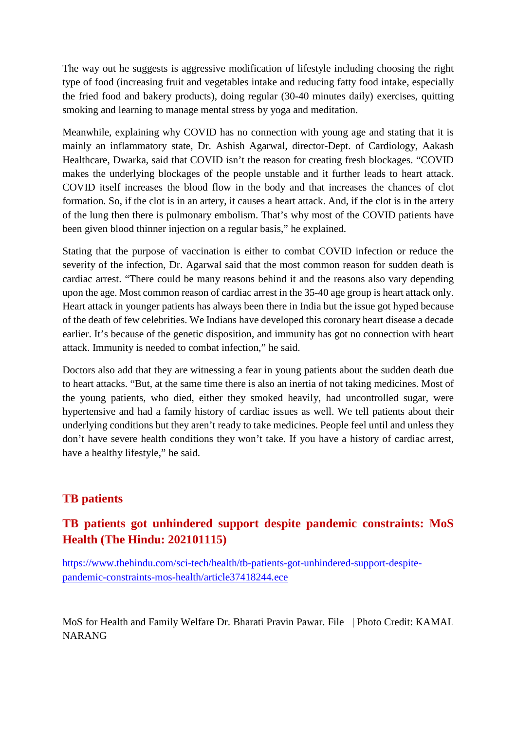The way out he suggests is aggressive modification of lifestyle including choosing the right type of food (increasing fruit and vegetables intake and reducing fatty food intake, especially the fried food and bakery products), doing regular (30-40 minutes daily) exercises, quitting smoking and learning to manage mental stress by yoga and meditation.

Meanwhile, explaining why COVID has no connection with young age and stating that it is mainly an inflammatory state, Dr. Ashish Agarwal, director-Dept. of Cardiology, Aakash Healthcare, Dwarka, said that COVID isn't the reason for creating fresh blockages. "COVID makes the underlying blockages of the people unstable and it further leads to heart attack. COVID itself increases the blood flow in the body and that increases the chances of clot formation. So, if the clot is in an artery, it causes a heart attack. And, if the clot is in the artery of the lung then there is pulmonary embolism. That's why most of the COVID patients have been given blood thinner injection on a regular basis," he explained.

Stating that the purpose of vaccination is either to combat COVID infection or reduce the severity of the infection, Dr. Agarwal said that the most common reason for sudden death is cardiac arrest. "There could be many reasons behind it and the reasons also vary depending upon the age. Most common reason of cardiac arrest in the 35-40 age group is heart attack only. Heart attack in younger patients has always been there in India but the issue got hyped because of the death of few celebrities. We Indians have developed this coronary heart disease a decade earlier. It's because of the genetic disposition, and immunity has got no connection with heart attack. Immunity is needed to combat infection," he said.

Doctors also add that they are witnessing a fear in young patients about the sudden death due to heart attacks. "But, at the same time there is also an inertia of not taking medicines. Most of the young patients, who died, either they smoked heavily, had uncontrolled sugar, were hypertensive and had a family history of cardiac issues as well. We tell patients about their underlying conditions but they aren't ready to take medicines. People feel until and unless they don't have severe health conditions they won't take. If you have a history of cardiac arrest, have a healthy lifestyle," he said.

## **TB patients**

## **TB patients got unhindered support despite pandemic constraints: MoS Health (The Hindu: 202101115)**

https://www.thehindu.com/sci-tech/health/tb-patients-got-unhindered-support-despitepandemic-constraints-mos-health/article37418244.ece

MoS for Health and Family Welfare Dr. Bharati Pravin Pawar. File | Photo Credit: KAMAL NARANG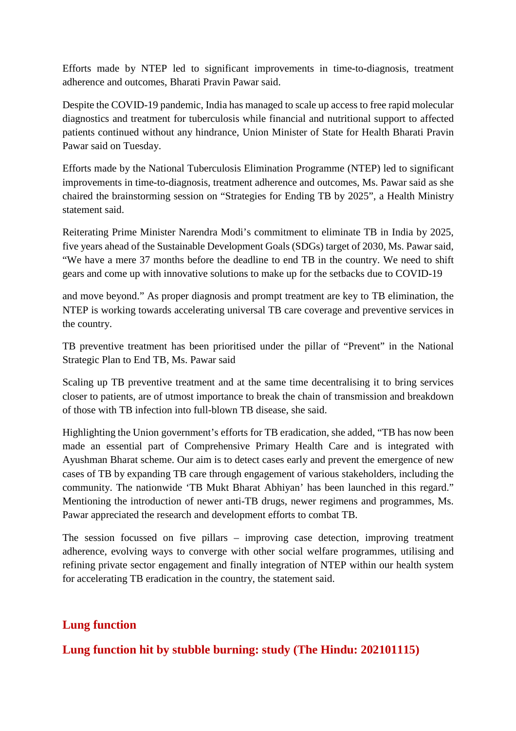Efforts made by NTEP led to significant improvements in time-to-diagnosis, treatment adherence and outcomes, Bharati Pravin Pawar said.

Despite the COVID-19 pandemic, India has managed to scale up access to free rapid molecular diagnostics and treatment for tuberculosis while financial and nutritional support to affected patients continued without any hindrance, Union Minister of State for Health Bharati Pravin Pawar said on Tuesday.

Efforts made by the National Tuberculosis Elimination Programme (NTEP) led to significant improvements in time-to-diagnosis, treatment adherence and outcomes, Ms. Pawar said as she chaired the brainstorming session on "Strategies for Ending TB by 2025", a Health Ministry statement said.

Reiterating Prime Minister Narendra Modi's commitment to eliminate TB in India by 2025, five years ahead of the Sustainable Development Goals (SDGs) target of 2030, Ms. Pawar said, "We have a mere 37 months before the deadline to end TB in the country. We need to shift gears and come up with innovative solutions to make up for the setbacks due to COVID-19

and move beyond." As proper diagnosis and prompt treatment are key to TB elimination, the NTEP is working towards accelerating universal TB care coverage and preventive services in the country.

TB preventive treatment has been prioritised under the pillar of "Prevent" in the National Strategic Plan to End TB, Ms. Pawar said

Scaling up TB preventive treatment and at the same time decentralising it to bring services closer to patients, are of utmost importance to break the chain of transmission and breakdown of those with TB infection into full-blown TB disease, she said.

Highlighting the Union government's efforts for TB eradication, she added, "TB has now been made an essential part of Comprehensive Primary Health Care and is integrated with Ayushman Bharat scheme. Our aim is to detect cases early and prevent the emergence of new cases of TB by expanding TB care through engagement of various stakeholders, including the community. The nationwide 'TB Mukt Bharat Abhiyan' has been launched in this regard." Mentioning the introduction of newer anti-TB drugs, newer regimens and programmes, Ms. Pawar appreciated the research and development efforts to combat TB.

The session focussed on five pillars – improving case detection, improving treatment adherence, evolving ways to converge with other social welfare programmes, utilising and refining private sector engagement and finally integration of NTEP within our health system for accelerating TB eradication in the country, the statement said.

## **Lung function**

**Lung function hit by stubble burning: study (The Hindu: 202101115)**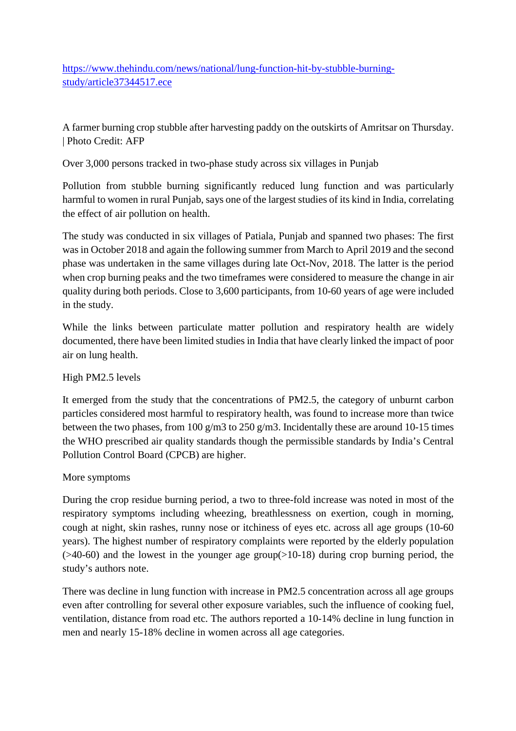https://www.thehindu.com/news/national/lung-function-hit-by-stubble-burningstudy/article37344517.ece

A farmer burning crop stubble after harvesting paddy on the outskirts of Amritsar on Thursday. | Photo Credit: AFP

Over 3,000 persons tracked in two-phase study across six villages in Punjab

Pollution from stubble burning significantly reduced lung function and was particularly harmful to women in rural Punjab, says one of the largest studies of its kind in India, correlating the effect of air pollution on health.

The study was conducted in six villages of Patiala, Punjab and spanned two phases: The first was in October 2018 and again the following summer from March to April 2019 and the second phase was undertaken in the same villages during late Oct-Nov, 2018. The latter is the period when crop burning peaks and the two timeframes were considered to measure the change in air quality during both periods. Close to 3,600 participants, from 10-60 years of age were included in the study.

While the links between particulate matter pollution and respiratory health are widely documented, there have been limited studies in India that have clearly linked the impact of poor air on lung health.

## High PM2.5 levels

It emerged from the study that the concentrations of PM2.5, the category of unburnt carbon particles considered most harmful to respiratory health, was found to increase more than twice between the two phases, from 100 g/m3 to 250 g/m3. Incidentally these are around 10-15 times the WHO prescribed air quality standards though the permissible standards by India's Central Pollution Control Board (CPCB) are higher.

## More symptoms

During the crop residue burning period, a two to three-fold increase was noted in most of the respiratory symptoms including wheezing, breathlessness on exertion, cough in morning, cough at night, skin rashes, runny nose or itchiness of eyes etc. across all age groups (10-60 years). The highest number of respiratory complaints were reported by the elderly population  $($ >40-60) and the lowest in the younger age group $($ >10-18) during crop burning period, the study's authors note.

There was decline in lung function with increase in PM2.5 concentration across all age groups even after controlling for several other exposure variables, such the influence of cooking fuel, ventilation, distance from road etc. The authors reported a 10-14% decline in lung function in men and nearly 15-18% decline in women across all age categories.